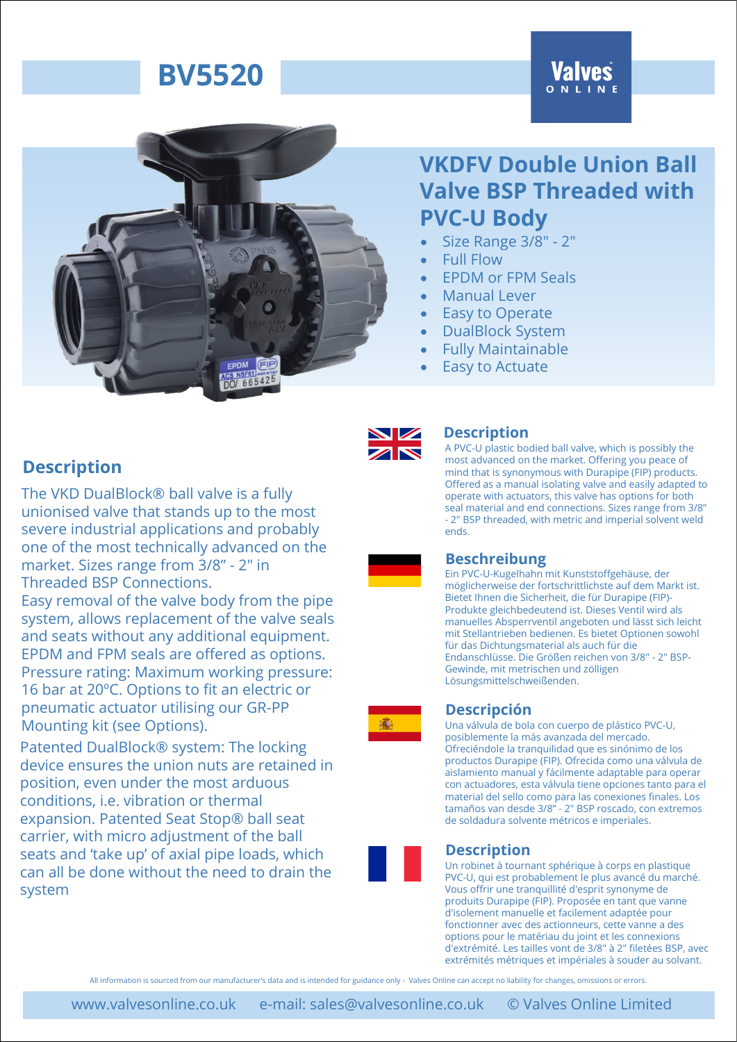# **Valves**



## **VKDFV Double Union Ball Valve BSP Threaded with PVC-U Body**

- Size Range 3/8" 2"
- Full Flow
- EPDM or FPM Seals
- Manual Lever
- **Easy to Operate**
- DualBlock System
- Fully Maintainable
- **Easy to Actuate**

### **Description**

The VKD DualBlock® ball valve is a fully unionised valve that stands up to the most severe industrial applications and probably one of the most technically advanced on the market. Sizes range from 3/8" - 2" in Threaded BSP Connections.

Easy removal of the valve body from the pipe system, allows replacement of the valve seals and seats without any additional equipment. EPDM and FPM seals are offered as options. Pressure rating: Maximum working pressure: 16 bar at 20ºC. Options to fit an electric or pneumatic actuator utilising our GR-PP Mounting kit (see Options).

Patented DualBlock® system: The locking device ensures the union nuts are retained in position, even under the most arduous conditions, i.e. vibration or thermal expansion. Patented Seat Stop® ball seat carrier, with micro adjustment of the ball seats and 'take up' of axial pipe loads, which can all be done without the need to drain the system



#### **Description**

A PVC-U plastic bodied ball valve, which is possibly the most advanced on the market. Offering you peace of mind that is synonymous with Durapipe (FIP) products. Offered as a manual isolating valve and easily adapted to operate with actuators, this valve has options for both seal material and end connections. Sizes range from 3/8" - 2" BSP threaded, with metric and imperial solvent weld ends.

### **Beschreibung**

Ein PVC-U-Kugelhahn mit Kunststoffgehäuse, der möglicherweise der fortschrittlichste auf dem Markt ist. Bietet Ihnen die Sicherheit, die für Durapipe (FIP)- Produkte gleichbedeutend ist. Dieses Ventil wird als manuelles Absperrventil angeboten und lässt sich leicht mit Stellantrieben bedienen. Es bietet Optionen sowohl für das Dichtungsmaterial als auch für die Endanschlüsse. Die Größen reichen von 3/8" - 2" BSP-Gewinde, mit metrischen und zölligen Lösungsmittelschweißenden.

#### **Descripción**

Una válvula de bola con cuerpo de plástico PVC-U, posiblemente la más avanzada del mercado. Ofreciéndole la tranquilidad que es sinónimo de los productos Durapipe (FIP). Ofrecida como una válvula de aislamiento manual y fácilmente adaptable para operar con actuadores, esta válvula tiene opciones tanto para el material del sello como para las conexiones finales. Los tamaños van desde 3/8" - 2" BSP roscado, con extremos de soldadura solvente métricos e imperiales.

#### **Description**

Un robinet à tournant sphérique à corps en plastique PVC-U, qui est probablement le plus avancé du marché. Vous offrir une tranquillité d'esprit synonyme de produits Durapipe (FIP). Proposée en tant que vanne d'isolement manuelle et facilement adaptée pour fonctionner avec des actionneurs, cette vanne a des options pour le matériau du joint et les connexions d'extrémité. Les tailles vont de 3/8" à 2" filetées BSP, avec extrémités métriques et impériales à souder au solvant.

All information is sourced from our manufacturer's data and is intended for guidance only - Valves Online can accept no liability for changes, omissions or errors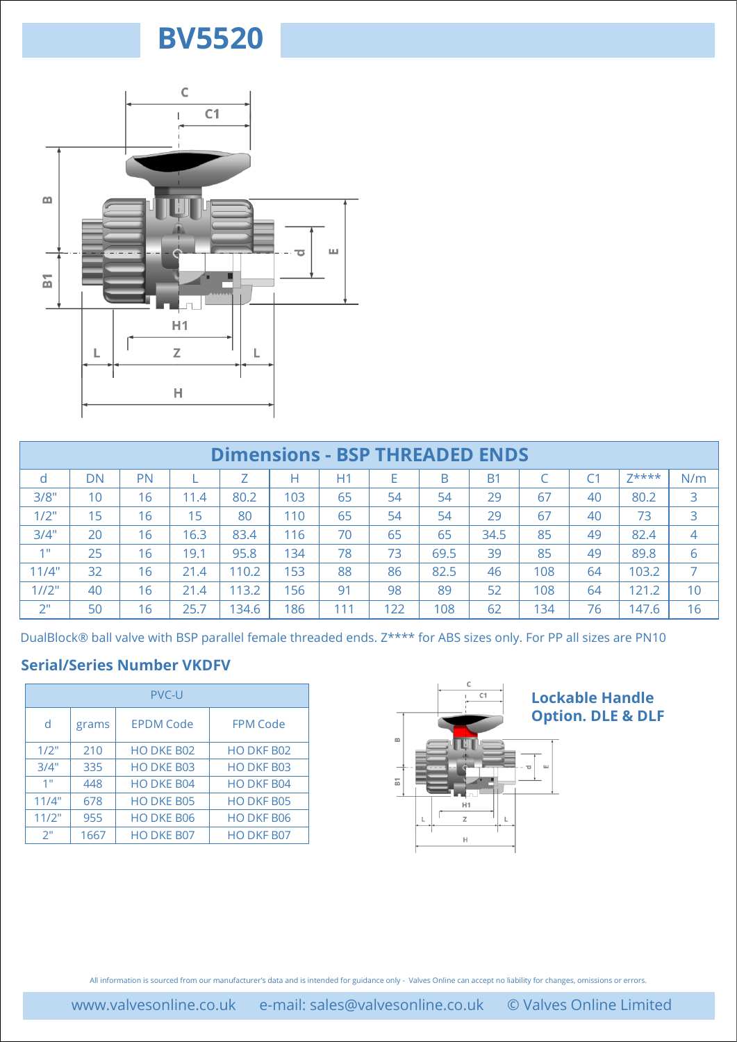

|                        |            | Н.                       |      |                          |     |                                       |                          |         |           |           |                        |                              |                |
|------------------------|------------|--------------------------|------|--------------------------|-----|---------------------------------------|--------------------------|---------|-----------|-----------|------------------------|------------------------------|----------------|
|                        |            |                          |      |                          |     |                                       |                          |         |           |           |                        |                              |                |
|                        |            |                          |      |                          |     | <b>Dimensions - BSP THREADED ENDS</b> |                          |         |           |           |                        |                              |                |
| d.                     | <b>DN</b>  | PN                       | L    | Ζ                        | Н   | H1                                    | E.                       | B       | <b>B1</b> | C         | C1                     | $7****$                      | N/m            |
| 3/8"                   | 10         | 16                       | 11.4 | 80.2                     | 103 | 65                                    | 54                       | 54      | 29        | 67        | 40                     | 80.2                         | 3              |
| 1/2"                   | 15         | 16                       | 15   | 80                       | 110 | 65                                    | 54                       | 54      | 29        | 67        | 40                     | 73                           | 3              |
| 3/4"                   | 20         | 16                       | 16.3 | 83.4                     | 116 | 70                                    | 65                       | 65      | 34.5      | 85        | 49                     | 82.4                         | $\overline{4}$ |
| 1 <sup>m</sup>         | 25         | 16                       | 19.1 | 95.8                     | 134 | 78                                    | 73                       | 69.5    | 39        | 85        | 49                     | 89.8                         | 6              |
| 11/4"                  | 32         | 16                       | 21.4 | 110.2                    | 153 | 88                                    | 86                       | 82.5    | 46        | 108       | 64                     | 103.2                        | $\overline{7}$ |
| 1/12"                  | 40         | 16                       | 21.4 | 113.2                    | 156 | 91                                    | 98                       | 89      | 52        | 108       | 64                     | 121.2                        | 10             |
| 2 <sup>n</sup>         | 50         | 16                       | 25.7 | 134.6                    | 186 | 111                                   | 122                      | 108     | 62        | 134       | 76                     | 147.6                        | 16             |
| d                      | grams      | <b>EPDM Code</b>         |      | <b>FPM Code</b>          |     |                                       |                          |         |           |           |                        | <b>Option. DLE &amp; DLF</b> |                |
|                        |            | PVC-U                    |      |                          |     |                                       |                          |         | C1        |           | <b>Lockable Handle</b> |                              |                |
|                        |            |                          |      |                          |     |                                       | $\underline{\mathrm{m}}$ |         |           |           |                        |                              |                |
| $1/2$ "                | 210        | HO DKE B02               |      | HO DKF B02               |     |                                       |                          |         |           |           |                        |                              |                |
| 3/4"<br>1 <sup>m</sup> | 335        | HO DKE B03               |      | HO DKF B03               |     |                                       | $\overline{\text{m}}$    |         |           | <b>LL</b> |                        |                              |                |
| 11/4"                  | 448<br>678 | HO DKE B04<br>HO DKE B05 |      | HO DKF B04<br>HO DKF B05 |     |                                       |                          |         |           |           |                        |                              |                |
| 11/2"                  | 955        | HO DKE B06               |      | HO DKF B06               |     |                                       |                          | H1<br>Z | L         |           |                        |                              |                |
| 2 <sup>0</sup>         | 1667       | HO DKE B07               |      | HO DKF B07               |     |                                       |                          | Н       |           |           |                        |                              |                |
|                        |            |                          |      |                          |     |                                       |                          |         |           |           |                        |                              |                |
|                        |            |                          |      |                          |     |                                       |                          |         |           |           |                        |                              |                |
|                        |            |                          |      |                          |     |                                       |                          |         |           |           |                        |                              |                |
|                        |            |                          |      |                          |     |                                       |                          |         |           |           |                        |                              |                |
|                        |            |                          |      |                          |     |                                       |                          |         |           |           |                        |                              |                |
|                        |            |                          |      |                          |     |                                       |                          |         |           |           |                        |                              |                |
|                        |            |                          |      |                          |     |                                       |                          |         |           |           |                        |                              |                |

#### **Serial/Series Number VKDFV**

| <b>PVC-U</b> |       |                   |                   |  |  |  |  |  |
|--------------|-------|-------------------|-------------------|--|--|--|--|--|
| d            | grams | <b>EPDM Code</b>  | <b>FPM Code</b>   |  |  |  |  |  |
| 1/2"         | 210   | <b>HO DKE B02</b> | <b>HO DKF B02</b> |  |  |  |  |  |
| 3/4"         | 335   | <b>HODKE B03</b>  | HO DKF B03        |  |  |  |  |  |
| 1"           | 448   | HO DKE B04        | HO DKF B04        |  |  |  |  |  |
| 11/4"        | 678   | <b>HODKE B05</b>  | HO DKF B05        |  |  |  |  |  |
| 11/2"        | 955   | <b>HO DKE B06</b> | <b>HO DKF B06</b> |  |  |  |  |  |
| 2"           | 1667  | <b>HO DKE B07</b> | HO DKF B07        |  |  |  |  |  |

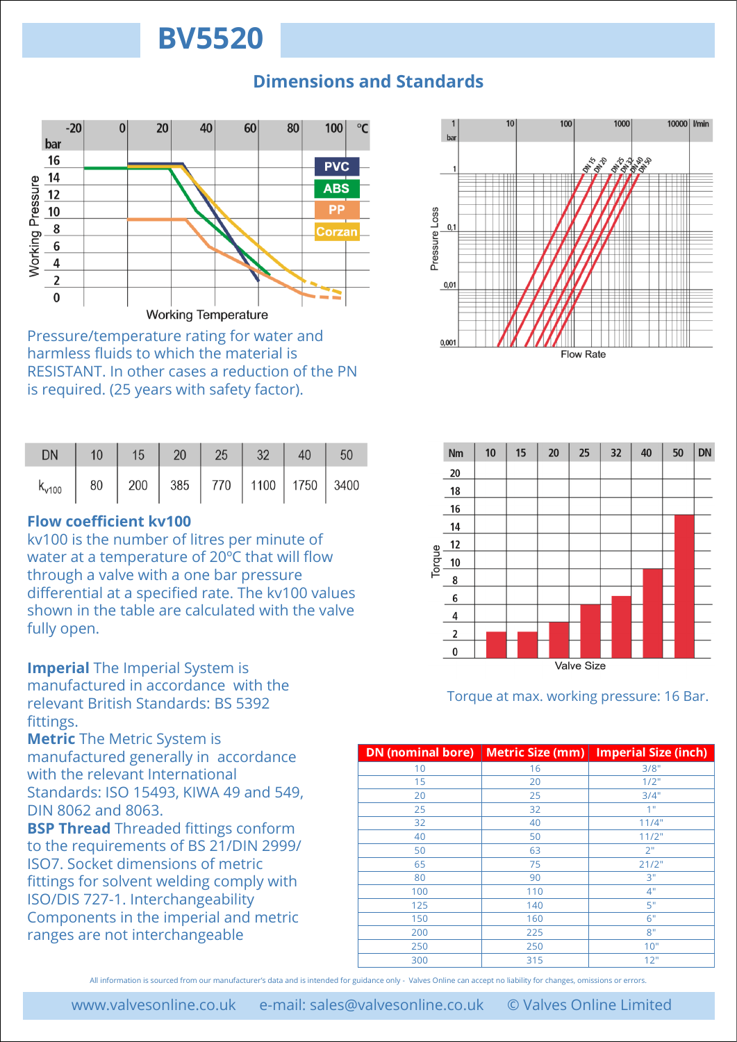### **Dimensions and Standards**



Pressure/temperature rating for water and harmless fluids to which the material is RESISTANT. In other cases a reduction of the PN is required. (25 years with safety factor).

| <b>DN</b>                                              | $10 \mid 15 \mid 20 \mid 25 \mid 32 \mid 40 \mid 50$ |  |  |  |
|--------------------------------------------------------|------------------------------------------------------|--|--|--|
| $k_{v100}$   80   200   385   770   1100   1750   3400 |                                                      |  |  |  |

### **Flow coefficient kv100**

kv100 is the number of litres per minute of water at a temperature of 20ºC that will flow through a valve with a one bar pressure differential at a specified rate. The kv100 values shown in the table are calculated with the valve fully open.

**Imperial** The Imperial System is manufactured in accordance with the relevant British Standards: BS 5392 fittings.

**Metric** The Metric System is manufactured generally in accordance with the relevant International Standards: ISO 15493, KIWA 49 and 549, DIN 8062 and 8063.

**BSP Thread** Threaded fittings conform to the requirements of BS 21/DIN 2999/ ISO7. Socket dimensions of metric fittings for solvent welding comply with ISO/DIS 727-1. Interchangeability Components in the imperial and metric ranges are not interchangeable





Torque at max. working pressure: 16 Bar.

| <b>DN</b> (nominal bore) | <b>Metric Size (mm)</b> | <b>Imperial Size (inch)</b> |
|--------------------------|-------------------------|-----------------------------|
| 10                       | 16                      | 3/8"                        |
| 15                       | 20                      | 1/2"                        |
| 20                       | 25                      | 3/4"                        |
| 25                       | 32                      | 1"                          |
| 32                       | 40                      | 11/4"                       |
| 40                       | 50                      | 11/2"                       |
| 50                       | 63                      | 2"                          |
| 65                       | 75                      | 21/2"                       |
| 80                       | 90                      | 3"                          |
| 100                      | 110                     | 4"                          |
| 125                      | 140                     | 5"                          |
| 150                      | 160                     | 6"                          |
| 200                      | 225                     | 8"                          |
| 250                      | 250                     | 10"                         |
| 300                      | 315                     | 12"                         |

All information is sourced from our manufacturer's data and is intended for guidance only - Valves Online can accept no liability for changes, omissions or errors.